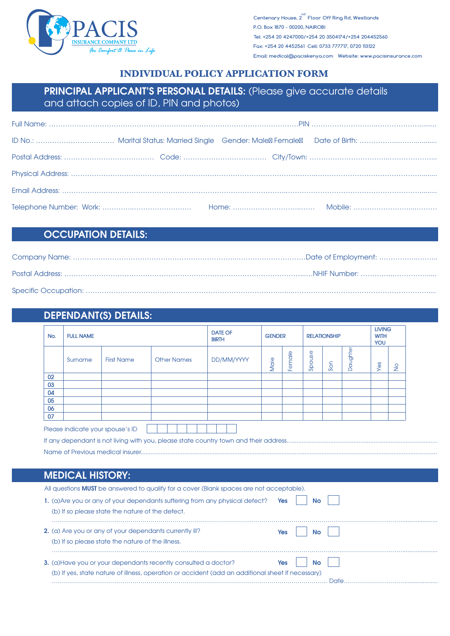

**nd Centenary House, 2 Floor Off Ring Rd, Westlands P.O. Box 1870 - 00200, NAIROBI Tel: +254 20 4247000/+254 20 3504174/+254 204452560 Fax: +254 20 4452561 Cell: 0733 777717, 0720 113122 Email: medical@paciskenya.com Website: www.pacisinsurance.com**

## **INDIVIDUAL POLICY APPLICATION FORM**

# PRINCIPAL APPLICANT'S PERSONAL DETAILS: (Please give accurate details and attach copies of ID, PIN and photos)

## OCCUPATION DETAILS:

## DEPENDANT(S) DETAILS:

| <b>FULL NAME</b><br>No. |                                  |                                                   |                                                                                          | <b>GENDER</b> |      |            | <b>RELATIONSHIP</b> |     | <b>LIVING</b><br><b>WITH</b><br>YOU |     |               |  |
|-------------------------|----------------------------------|---------------------------------------------------|------------------------------------------------------------------------------------------|---------------|------|------------|---------------------|-----|-------------------------------------|-----|---------------|--|
|                         | Surname                          | <b>First Name</b>                                 | <b>Other Names</b>                                                                       | DD/MM/YYYY    | Male | Female     | Spouse              | Son | <b>Daughte</b>                      | Yes | $\frac{1}{2}$ |  |
| 02                      |                                  |                                                   |                                                                                          |               |      |            |                     |     |                                     |     |               |  |
| 03                      |                                  |                                                   |                                                                                          |               |      |            |                     |     |                                     |     |               |  |
| 04                      |                                  |                                                   |                                                                                          |               |      |            |                     |     |                                     |     |               |  |
| 05                      |                                  |                                                   |                                                                                          |               |      |            |                     |     |                                     |     |               |  |
| 06<br>07                |                                  |                                                   |                                                                                          |               |      |            |                     |     |                                     |     |               |  |
|                         |                                  |                                                   |                                                                                          |               |      |            |                     |     |                                     |     |               |  |
|                         | Please indicate your spouse's ID |                                                   |                                                                                          |               |      |            |                     |     |                                     |     |               |  |
|                         |                                  |                                                   |                                                                                          |               |      |            |                     |     |                                     |     |               |  |
|                         |                                  |                                                   |                                                                                          |               |      |            |                     |     |                                     |     |               |  |
|                         |                                  |                                                   |                                                                                          |               |      |            |                     |     |                                     |     |               |  |
|                         |                                  |                                                   |                                                                                          |               |      |            |                     |     |                                     |     |               |  |
|                         | <b>MEDICAL HISTORY:</b>          |                                                   |                                                                                          |               |      |            |                     |     |                                     |     |               |  |
|                         |                                  |                                                   | All questions MUST be answered to qualify for a cover (Blank spaces are not acceptable). |               |      |            |                     |     |                                     |     |               |  |
|                         |                                  |                                                   |                                                                                          |               |      |            |                     |     |                                     |     |               |  |
|                         |                                  |                                                   | 1. (a) Are you or any of your dependants suffering from any physical defect?             |               |      | <b>Yes</b> | <b>No</b>           |     |                                     |     |               |  |
|                         |                                  | (b) If so please state the nature of the defect.  |                                                                                          |               |      |            |                     |     |                                     |     |               |  |
|                         |                                  |                                                   |                                                                                          |               |      |            |                     |     |                                     |     |               |  |
|                         |                                  |                                                   | 2. (a) Are you or any of your dependants currently ill?                                  |               |      | Yes        | <b>No</b>           |     |                                     |     |               |  |
|                         |                                  | (b) If so please state the nature of the illness. |                                                                                          |               |      |            |                     |     |                                     |     |               |  |
|                         |                                  |                                                   |                                                                                          |               |      |            |                     |     |                                     |     |               |  |
|                         |                                  |                                                   | 3. (a) Have you or your dependants recently consulted a doctor?                          |               |      | Yes        | <b>No</b>           |     |                                     |     |               |  |

……………………………………………………………………………………………………………………….. Date…………………………....................

(b) If yes, state nature of illness, operation or accident (add an additional sheet if necessary)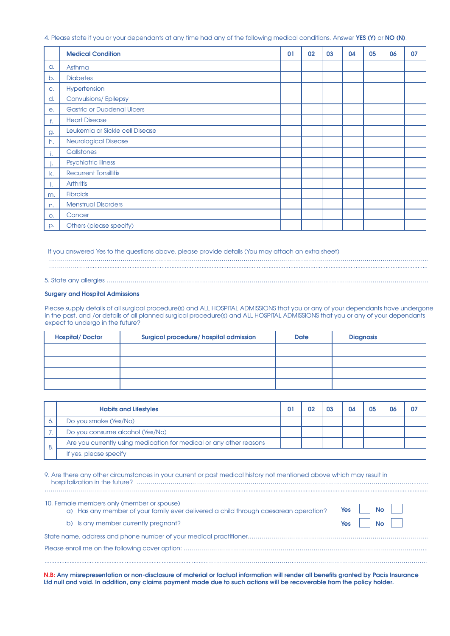4. Please state if you or your dependants at any time had any of the following medical conditions. Answer YES (Y) or NO (N).

|           | <b>Medical Condition</b>          | 01 | 02 | 03 | 04 | 05 | 06 | 07 |
|-----------|-----------------------------------|----|----|----|----|----|----|----|
| a.        | Asthma                            |    |    |    |    |    |    |    |
| b.        | <b>Diabetes</b>                   |    |    |    |    |    |    |    |
| C.        | Hypertension                      |    |    |    |    |    |    |    |
| d.        | <b>Convulsions/Epilepsy</b>       |    |    |    |    |    |    |    |
| $e_{1}$   | <b>Gastric or Duodenal Ulcers</b> |    |    |    |    |    |    |    |
| f.        | <b>Heart Disease</b>              |    |    |    |    |    |    |    |
| g.        | Leukemia or Sickle cell Disease   |    |    |    |    |    |    |    |
| h.        | <b>Neurological Disease</b>       |    |    |    |    |    |    |    |
| ٠.        | Gallstones                        |    |    |    |    |    |    |    |
|           | Psychiatric illness               |    |    |    |    |    |    |    |
| k.        | <b>Recurrent Tonsillitis</b>      |    |    |    |    |    |    |    |
| л.        | <b>Arthritis</b>                  |    |    |    |    |    |    |    |
| m.        | <b>Fibroids</b>                   |    |    |    |    |    |    |    |
| n.        | <b>Menstrual Disorders</b>        |    |    |    |    |    |    |    |
| $\circ$ . | Cancer                            |    |    |    |    |    |    |    |
| p.        | Others (please specify)           |    |    |    |    |    |    |    |

If you answered Yes to the questions above, please provide details (You may attach an extra sheet)

……………………………………………………………………………………………………………………………………………………………………... …………….…............................................................................................................................................................................................................

5. State any allergies …………………………………………………………………………………………………………………………………………….

#### Surgery and Hospital Admissions

Please supply details of all surgical procedure(s) and ALL HOSPITAL ADMISSIONS that you or any of your dependants have undergone in the past, and /or details of all planned surgical procedure(s) and ALL HOSPITAL ADMISSIONS that you or any of your dependants expect to undergo in the future?

| <b>Hospital/Doctor</b> | <b>Surgical procedure/ hospital admission</b> | <b>Date</b> | <b>Diagnosis</b> |
|------------------------|-----------------------------------------------|-------------|------------------|
|                        |                                               |             |                  |
|                        |                                               |             |                  |
|                        |                                               |             |                  |
|                        |                                               |             |                  |

|    | <b>Habits and Lifestyles</b>                                        | 01 | 02 | 03 | 04 | 05 | 06 | 07 |
|----|---------------------------------------------------------------------|----|----|----|----|----|----|----|
|    | Do you smoke (Yes/No)                                               |    |    |    |    |    |    |    |
|    | Do you consume alcohol (Yes/No)                                     |    |    |    |    |    |    |    |
|    | Are you currently using medication for medical or any other reasons |    |    |    |    |    |    |    |
| о. | If yes, please specify                                              |    |    |    |    |    |    |    |

| 9. Are there any other circumstances in your current or past medical history not mentioned above which may result in |
|----------------------------------------------------------------------------------------------------------------------|
|                                                                                                                      |
|                                                                                                                      |

| 10. Female members only (member or spouse)<br>a) Has any member of your family ever delivered a child through caesarean operation? | Yes l            | No II |
|------------------------------------------------------------------------------------------------------------------------------------|------------------|-------|
| b) Is any member currently pregnant?                                                                                               | $Yes \mid \cdot$ | No    |
|                                                                                                                                    |                  |       |
|                                                                                                                                    |                  |       |
|                                                                                                                                    |                  |       |

N.B: Any misrepresentation or non-disclosure of material or factual information will render all benefits granted by Pacis Insurance Ltd null and void. In addition, any claims payment made due to such actions will be recoverable from the policy holder.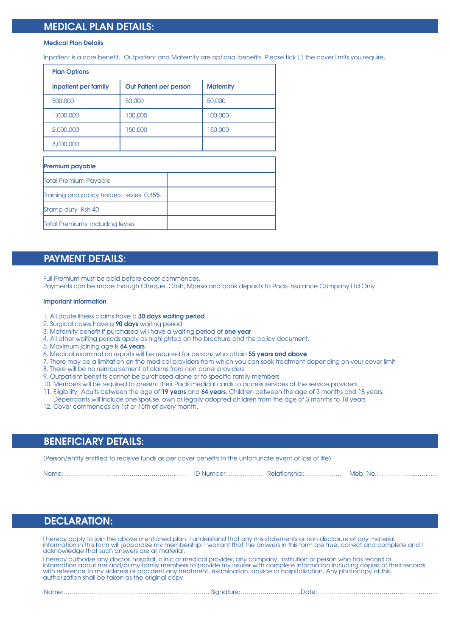## MEDICAL PLAN DETAILS:

#### Medical Plan Details

Inpatient is a core benefit. Outpatient and Maternity are optional benefits. Please tick (√) the cover limits you require.

| <b>Plan Options</b>                      |                               |                  |
|------------------------------------------|-------------------------------|------------------|
| <b>Inpatient per family</b>              | <b>Out Patient per person</b> | <b>Maternity</b> |
| 500,000                                  | 50,000                        | 50,000           |
| 1,000,000                                | 100,000                       | 100,000          |
| 2,000,000                                | 150,000                       | 150,000          |
| 3,000,000                                |                               |                  |
| <b>Premium payable</b>                   |                               |                  |
| Total Premium Payable                    |                               |                  |
| Training and policy holders Levies 0.45% |                               |                  |
| Stamp duty Ksh 40                        |                               |                  |
| <b>Total Premiums including levies</b>   |                               |                  |

#### PAYMENT DETAILS:

Full Premium must be paid before cover commences. Payments can be made through Cheque, Cash, Mpesa and bank deposits to Pacis Insurance Company Ltd Only

#### Important information

- 1. All acute illness claims have a 30 days waiting period
- 2. Surgical cases have a 90 days waiting period
- 3. Maternity benefit if purchased will have a waiting period of one year
- 4. All other waiting periods apply as highlighted on the brochure and the policy document.
- 5. Maximum joining age is 64 years
- 6. Medical examination reports will be required for persons who attain 55 years and above
- 7. There may be a limitation on the medical providers from which you can seek treatment depending on your cover limit.
- 8. There will be no reimbursement of claims from non-panel providers
- 9. Outpatient benefits cannot be purchased alone or to specific family members.
- 10. Members will be required to present their Pacis medical cards to access services at the service providers.
- 11. Eligibility- Adults between the age of 19 years and 64 years. Children between the age of 3 months and 18 years.
- Dependants will include one spouse, own or legally adopted children from the age of 3 months to 18 years. 12. Cover commences on 1st or 15th of every month.

#### BENEFICIARY DETAILS:

(Person/entity entitled to receive funds as per cover benefits in the unfortunate event of loss of life)

Name: ………………………………………………..…… ID Number: ……..……… Relationship: ………….…... Mob. No.: ……………..…….......

## DECLARATION:

I hereby apply to join the above mentioned plan. I understand that any mis-statements or non-disclosure of any material information in this form will jeopardize my membership. I warrant that the answers in this form are true, correct and complete and I acknowledge that such answers are all material.

I hereby authorize any doctor, hospital, clinic or medical provider, any company, institution or person who has record or information about me and/or my family members to provide my insurer with complete information including copies of their records with reference to my sickness or accident any treatment, examination, advice or hospitalization. Any photocopy of this authorization shall be taken as the original copy.

Name:………………………………………..……………….……..Signature:…………………………Date:……………………………………..……..……...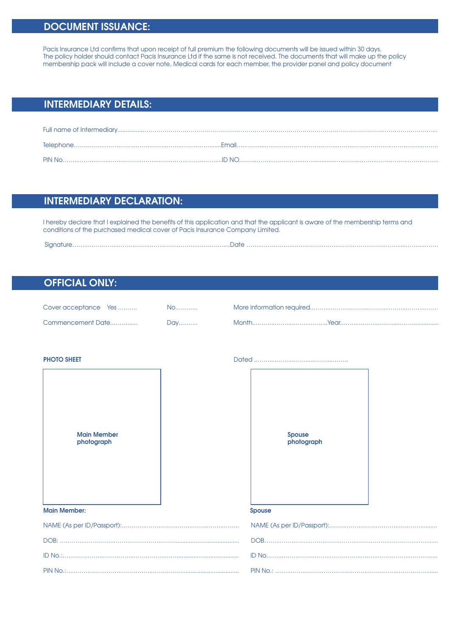# DOCUMENT ISSUANCE:

Pacis Insurance Ltd confirms that upon receipt of full premium the following documents will be issued within 30 days. The policy holder should contact Pacis Insurance Ltd if the same is not received. The documents that will make up the policy membership pack will include a cover note, Medical cards for each member, the provider panel and policy document

# INTERMEDIARY DETAILS:

# INTERMEDIARY DECLARATION:

I hereby declare that I explained the benefits of this application and that the applicant is aware of the membership terms and conditions of the purchased medical cover of Pacis Insurance Company Limited.

Signature……..……..……..……..……..……..……..……..……..……....Date ……..……..……..……..……..……..……..……..……..…….....……....…….

### OFFICIAL ONLY:

| Cover acceptance Yes | No. |  |
|----------------------|-----|--|
| Commencement Date    | Day |  |



PHOTO SHEET Dated ..……....……....……....……....……..

| Spouse<br>photograph |
|----------------------|
| <b>Spouse</b>        |